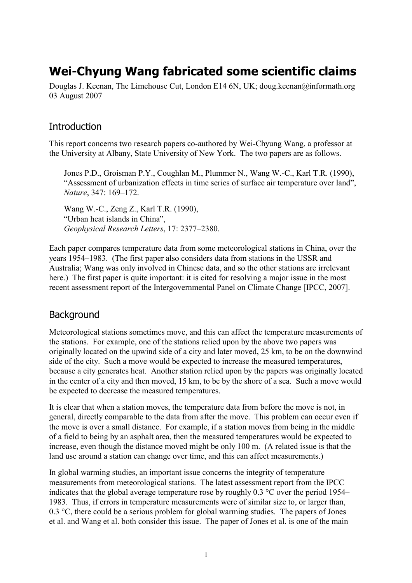# **Wei-Chyung Wang fabricated some scientific claims**

Douglas J. Keenan, The Limehouse Cut, London E14 6N, UK; doug.keenan@informath.org 03 August 2007

#### **Introduction**

This report concerns two research papers co-authored by Wei-Chyung Wang, a professor at the University at Albany, State University of New York. The two papers are as follows.

Jones P.D., Groisman P.Y., Coughlan M., Plummer N., Wang W.-C., Karl T.R. (1990), "Assessment of urbanization effects in time series of surface air temperature over land", *Nature*, 347: 169–172.

Wang W.-C., Zeng Z., Karl T.R. (1990), "Urban heat islands in China", *Geophysical Research Letters*, 17: 2377–2380.

Each paper compares temperature data from some meteorological stations in China, over the years 1954–1983. (The first paper also considers data from stations in the USSR and Australia; Wang was only involved in Chinese data, and so the other stations are irrelevant here.) The first paper is quite important: it is cited for resolving a major issue in the most recent assessment report of the Intergovernmental Panel on Climate Change [IPCC, 2007].

### **Background**

Meteorological stations sometimes move, and this can affect the temperature measurements of the stations. For example, one of the stations relied upon by the above two papers was originally located on the upwind side of a city and later moved, 25 km, to be on the downwind side of the city. Such a move would be expected to increase the measured temperatures, because a city generates heat. Another station relied upon by the papers was originally located in the center of a city and then moved, 15 km, to be by the shore of a sea. Such a move would be expected to decrease the measured temperatures.

It is clear that when a station moves, the temperature data from before the move is not, in general, directly comparable to the data from after the move. This problem can occur even if the move is over a small distance. For example, if a station moves from being in the middle of a field to being by an asphalt area, then the measured temperatures would be expected to increase, even though the distance moved might be only 100 m. (A related issue is that the land use around a station can change over time, and this can affect measurements.)

In global warming studies, an important issue concerns the integrity of temperature measurements from meteorological stations. The latest assessment report from the IPCC indicates that the global average temperature rose by roughly 0.3 °C over the period 1954– 1983. Thus, if errors in temperature measurements were of similar size to, or larger than, 0.3 °C, there could be a serious problem for global warming studies. The papers of Jones et al. and Wang et al. both consider this issue. The paper of Jones et al. is one of the main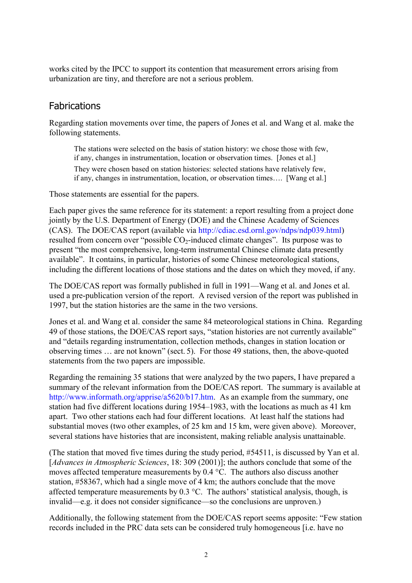works cited by the IPCC to support its contention that measurement errors arising from urbanization are tiny, and therefore are not a serious problem.

# **Fabrications**

Regarding station movements over time, the papers of Jones et al. and Wang et al. make the following statements.

The stations were selected on the basis of station history: we chose those with few, if any, changes in instrumentation, location or observation times. [Jones et al.] They were chosen based on station histories: selected stations have relatively few, if any, changes in instrumentation, location, or observation times…. [Wang et al.]

Those statements are essential for the papers.

Each paper gives the same reference for its statement: a report resulting from a project done jointly by the U.S. Department of Energy (DOE) and the Chinese Academy of Sciences (CAS). The DOE/CAS report (available via [http://cdiac.esd.ornl.gov/ndps/ndp039.html\)](http://cdiac.esd.ornl.gov/ndps/ndp039.html) resulted from concern over "possible  $CO<sub>2</sub>$ -induced climate changes". Its purpose was to present "the most comprehensive, long-term instrumental Chinese climate data presently available". It contains, in particular, histories of some Chinese meteorological stations, including the different locations of those stations and the dates on which they moved, if any.

The DOE/CAS report was formally published in full in 1991—Wang et al. and Jones et al. used a pre-publication version of the report. A revised version of the report was published in 1997, but the station histories are the same in the two versions.

Jones et al. and Wang et al. consider the same 84 meteorological stations in China. Regarding 49 of those stations, the DOE/CAS report says, "station histories are not currently available" and "details regarding instrumentation, collection methods, changes in station location or observing times … are not known" (sect. 5). For those 49 stations, then, the above-quoted statements from the two papers are impossible.

Regarding the remaining 35 stations that were analyzed by the two papers, I have prepared a summary of the relevant information from the DOE/CAS report. The summary is available at [http://www.informath.org/apprise/a5620/b17.htm.](http://www.informath.org/apprise/a5620/b17.htm) As an example from the summary, one station had five different locations during 1954–1983, with the locations as much as 41 km apart. Two other stations each had four different locations. At least half the stations had substantial moves (two other examples, of 25 km and 15 km, were given above). Moreover, several stations have histories that are inconsistent, making reliable analysis unattainable.

(The station that moved five times during the study period, #54511, is discussed by Yan et al. [*Advances in Atmospheric Sciences*, 18: 309 (2001)]; the authors conclude that some of the moves affected temperature measurements by 0.4 °C. The authors also discuss another station, #58367, which had a single move of 4 km; the authors conclude that the move affected temperature measurements by  $0.3 \text{ °C}$ . The authors' statistical analysis, though, is invalid—e.g. it does not consider significance—so the conclusions are unproven.)

Additionally, the following statement from the DOE/CAS report seems apposite: "Few station records included in the PRC data sets can be considered truly homogeneous [i.e. have no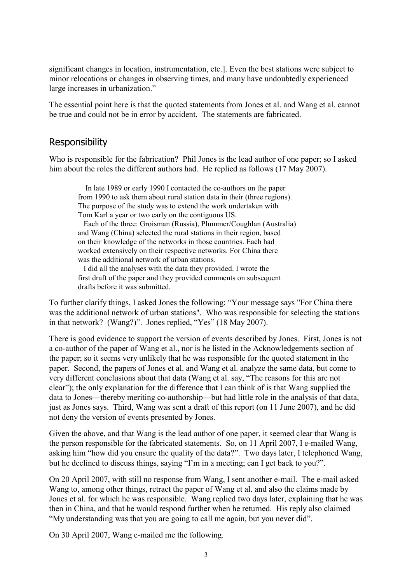significant changes in location, instrumentation, etc.]. Even the best stations were subject to minor relocations or changes in observing times, and many have undoubtedly experienced large increases in urbanization."

The essential point here is that the quoted statements from Jones et al. and Wang et al. cannot be true and could not be in error by accident. The statements are fabricated.

# Responsibility

Who is responsible for the fabrication? Phil Jones is the lead author of one paper; so I asked him about the roles the different authors had. He replied as follows (17 May 2007).

 In late 1989 or early 1990 I contacted the co-authors on the paper from 1990 to ask them about rural station data in their (three regions). The purpose of the study was to extend the work undertaken with Tom Karl a year or two early on the contiguous US.

 Each of the three: Groisman (Russia), Plummer/Coughlan (Australia) and Wang (China) selected the rural stations in their region, based on their knowledge of the networks in those countries. Each had worked extensively on their respective networks. For China there was the additional network of urban stations.

 I did all the analyses with the data they provided. I wrote the first draft of the paper and they provided comments on subsequent drafts before it was submitted.

To further clarify things, I asked Jones the following: "Your message says "For China there was the additional network of urban stations". Who was responsible for selecting the stations in that network? (Wang?)". Jones replied, "Yes" (18 May 2007).

There is good evidence to support the version of events described by Jones. First, Jones is not a co-author of the paper of Wang et al., nor is he listed in the Acknowledgements section of the paper; so it seems very unlikely that he was responsible for the quoted statement in the paper. Second, the papers of Jones et al. and Wang et al. analyze the same data, but come to very different conclusions about that data (Wang et al. say, "The reasons for this are not clear"); the only explanation for the difference that I can think of is that Wang supplied the data to Jones—thereby meriting co-authorship—but had little role in the analysis of that data, just as Jones says. Third, Wang was sent a draft of this report (on 11 June 2007), and he did not deny the version of events presented by Jones.

Given the above, and that Wang is the lead author of one paper, it seemed clear that Wang is the person responsible for the fabricated statements. So, on 11 April 2007, I e-mailed Wang, asking him "how did you ensure the quality of the data?". Two days later, I telephoned Wang, but he declined to discuss things, saying "I'm in a meeting; can I get back to you?".

On 20 April 2007, with still no response from Wang, I sent another e-mail. The e-mail asked Wang to, among other things, retract the paper of Wang et al. and also the claims made by Jones et al. for which he was responsible. Wang replied two days later, explaining that he was then in China, and that he would respond further when he returned. His reply also claimed "My understanding was that you are going to call me again, but you never did".

On 30 April 2007, Wang e-mailed me the following.